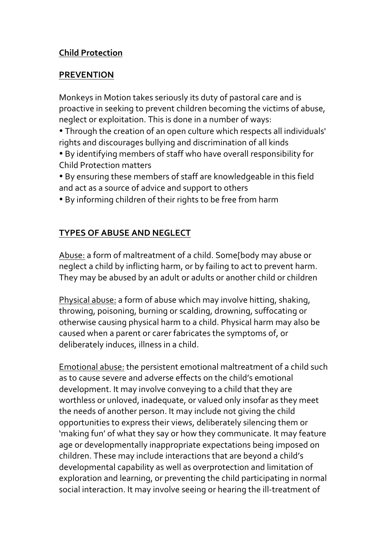## **Child Protection**

## **PREVENTION**

Monkeys in Motion takes seriously its duty of pastoral care and is proactive in seeking to prevent children becoming the victims of abuse, neglect or exploitation. This is done in a number of ways:

• Through the creation of an open culture which respects all individuals' rights and discourages bullying and discrimination of all kinds

• By identifying members of staff who have overall responsibility for Child Protection matters 

• By ensuring these members of staff are knowledgeable in this field and act as a source of advice and support to others

• By informing children of their rights to be free from harm

## **TYPES OF ABUSE AND NEGLECT**

Abuse: a form of maltreatment of a child. Some[body may abuse or neglect a child by inflicting harm, or by failing to act to prevent harm. They may be abused by an adult or adults or another child or children

Physical abuse: a form of abuse which may involve hitting, shaking, throwing, poisoning, burning or scalding, drowning, suffocating or otherwise causing physical harm to a child. Physical harm may also be caused when a parent or carer fabricates the symptoms of, or deliberately induces, illness in a child.

Emotional abuse: the persistent emotional maltreatment of a child such as to cause severe and adverse effects on the child's emotional development. It may involve conveying to a child that they are worthless or unloved, inadequate, or valued only insofar as they meet the needs of another person. It may include not giving the child opportunities to express their views, deliberately silencing them or 'making fun' of what they say or how they communicate. It may feature age or developmentally inappropriate expectations being imposed on children. These may include interactions that are beyond a child's developmental capability as well as overprotection and limitation of exploration and learning, or preventing the child participating in normal social interaction. It may involve seeing or hearing the ill-treatment of